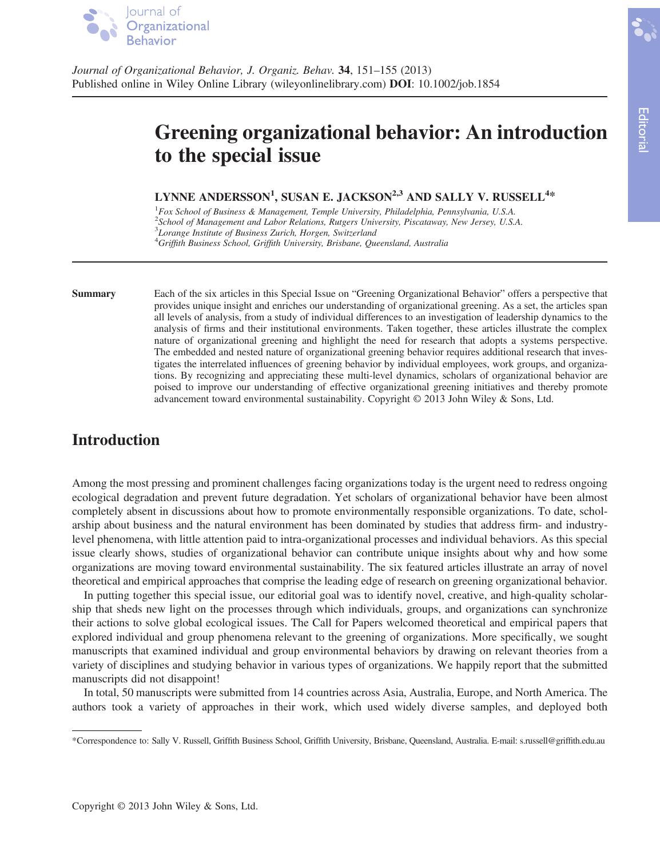

**Editoria** 

# Greening organizational behavior: An introduction to the special issue

LYNNE ANDERSSON $^1,$  SUSAN E. JACKSON $^{2,3}$  AND SALLY V. RUSSELL $^{4\ast}$ 

 ${}^{1}_{1}$ Fox School of Business & Management, Temple University, Philadelphia, Pennsylvania, U.S.A. <sup>2</sup>School of Management and Labor Relations, Rutgers University, Piscataway, New Jersey, U.S.A. <sup>3</sup>Lorange Institute of Business Zurich, Horgen, Switzerland <sup>4</sup>Griffith Business School, Griffith University, Brisbane, Queensland, Australia

Summary Each of the six articles in this Special Issue on "Greening Organizational Behavior" offers a perspective that provides unique insight and enriches our understanding of organizational greening. As a set, the articles span all levels of analysis, from a study of individual differences to an investigation of leadership dynamics to the analysis of firms and their institutional environments. Taken together, these articles illustrate the complex nature of organizational greening and highlight the need for research that adopts a systems perspective. The embedded and nested nature of organizational greening behavior requires additional research that investigates the interrelated influences of greening behavior by individual employees, work groups, and organizations. By recognizing and appreciating these multi-level dynamics, scholars of organizational behavior are poised to improve our understanding of effective organizational greening initiatives and thereby promote advancement toward environmental sustainability. Copyright © 2013 John Wiley & Sons, Ltd.

## Introduction

Among the most pressing and prominent challenges facing organizations today is the urgent need to redress ongoing ecological degradation and prevent future degradation. Yet scholars of organizational behavior have been almost completely absent in discussions about how to promote environmentally responsible organizations. To date, scholarship about business and the natural environment has been dominated by studies that address firm- and industrylevel phenomena, with little attention paid to intra-organizational processes and individual behaviors. As this special issue clearly shows, studies of organizational behavior can contribute unique insights about why and how some organizations are moving toward environmental sustainability. The six featured articles illustrate an array of novel theoretical and empirical approaches that comprise the leading edge of research on greening organizational behavior.

In putting together this special issue, our editorial goal was to identify novel, creative, and high-quality scholarship that sheds new light on the processes through which individuals, groups, and organizations can synchronize their actions to solve global ecological issues. The Call for Papers welcomed theoretical and empirical papers that explored individual and group phenomena relevant to the greening of organizations. More specifically, we sought manuscripts that examined individual and group environmental behaviors by drawing on relevant theories from a variety of disciplines and studying behavior in various types of organizations. We happily report that the submitted manuscripts did not disappoint!

In total, 50 manuscripts were submitted from 14 countries across Asia, Australia, Europe, and North America. The authors took a variety of approaches in their work, which used widely diverse samples, and deployed both

<sup>\*</sup>Correspondence to: Sally V. Russell, Griffith Business School, Griffith University, Brisbane, Queensland, Australia. E-mail: s.russell@griffith.edu.au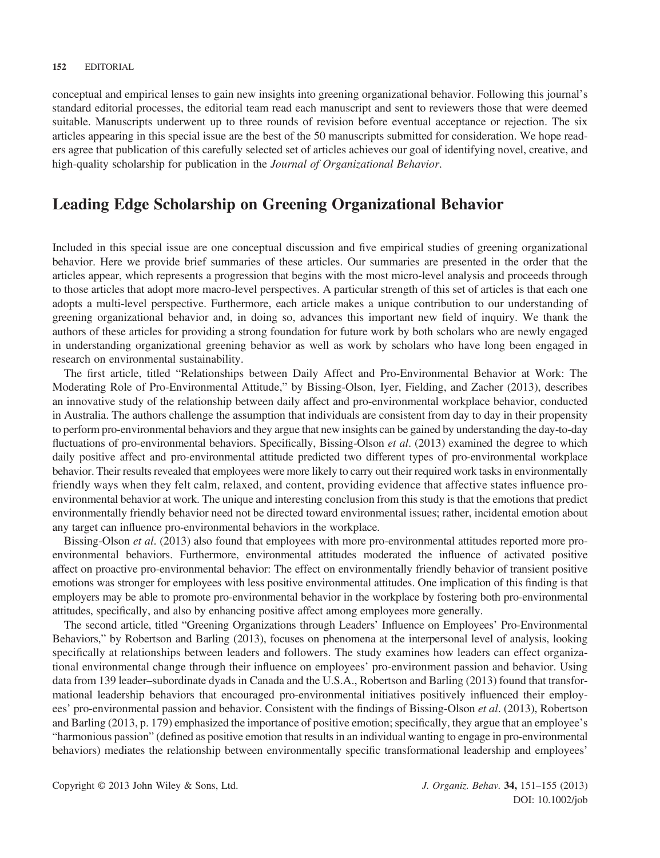#### 152 EDITORIAL

conceptual and empirical lenses to gain new insights into greening organizational behavior. Following this journal's standard editorial processes, the editorial team read each manuscript and sent to reviewers those that were deemed suitable. Manuscripts underwent up to three rounds of revision before eventual acceptance or rejection. The six articles appearing in this special issue are the best of the 50 manuscripts submitted for consideration. We hope readers agree that publication of this carefully selected set of articles achieves our goal of identifying novel, creative, and high-quality scholarship for publication in the Journal of Organizational Behavior.

### Leading Edge Scholarship on Greening Organizational Behavior

Included in this special issue are one conceptual discussion and five empirical studies of greening organizational behavior. Here we provide brief summaries of these articles. Our summaries are presented in the order that the articles appear, which represents a progression that begins with the most micro-level analysis and proceeds through to those articles that adopt more macro-level perspectives. A particular strength of this set of articles is that each one adopts a multi-level perspective. Furthermore, each article makes a unique contribution to our understanding of greening organizational behavior and, in doing so, advances this important new field of inquiry. We thank the authors of these articles for providing a strong foundation for future work by both scholars who are newly engaged in understanding organizational greening behavior as well as work by scholars who have long been engaged in research on environmental sustainability.

The first article, titled "Relationships between Daily Affect and Pro-Environmental Behavior at Work: The Moderating Role of Pro-Environmental Attitude," by Bissing-Olson, Iyer, Fielding, and Zacher (2013), describes an innovative study of the relationship between daily affect and pro-environmental workplace behavior, conducted in Australia. The authors challenge the assumption that individuals are consistent from day to day in their propensity to perform pro-environmental behaviors and they argue that new insights can be gained by understanding the day-to-day fluctuations of pro-environmental behaviors. Specifically, Bissing-Olson et al. (2013) examined the degree to which daily positive affect and pro-environmental attitude predicted two different types of pro-environmental workplace behavior. Their results revealed that employees were more likely to carry out their required work tasks in environmentally friendly ways when they felt calm, relaxed, and content, providing evidence that affective states influence proenvironmental behavior at work. The unique and interesting conclusion from this study is that the emotions that predict environmentally friendly behavior need not be directed toward environmental issues; rather, incidental emotion about any target can influence pro-environmental behaviors in the workplace.

Bissing-Olson *et al.* (2013) also found that employees with more pro-environmental attitudes reported more proenvironmental behaviors. Furthermore, environmental attitudes moderated the influence of activated positive affect on proactive pro-environmental behavior: The effect on environmentally friendly behavior of transient positive emotions was stronger for employees with less positive environmental attitudes. One implication of this finding is that employers may be able to promote pro-environmental behavior in the workplace by fostering both pro-environmental attitudes, specifically, and also by enhancing positive affect among employees more generally.

The second article, titled "Greening Organizations through Leaders' Influence on Employees' Pro-Environmental Behaviors," by Robertson and Barling (2013), focuses on phenomena at the interpersonal level of analysis, looking specifically at relationships between leaders and followers. The study examines how leaders can effect organizational environmental change through their influence on employees' pro-environment passion and behavior. Using data from 139 leader–subordinate dyads in Canada and the U.S.A., Robertson and Barling (2013) found that transformational leadership behaviors that encouraged pro-environmental initiatives positively influenced their employees' pro-environmental passion and behavior. Consistent with the findings of Bissing-Olson et al. (2013), Robertson and Barling (2013, p. 179) emphasized the importance of positive emotion; specifically, they argue that an employee's "harmonious passion" (defined as positive emotion that results in an individual wanting to engage in pro-environmental behaviors) mediates the relationship between environmentally specific transformational leadership and employees'

DOI: 10.1002/job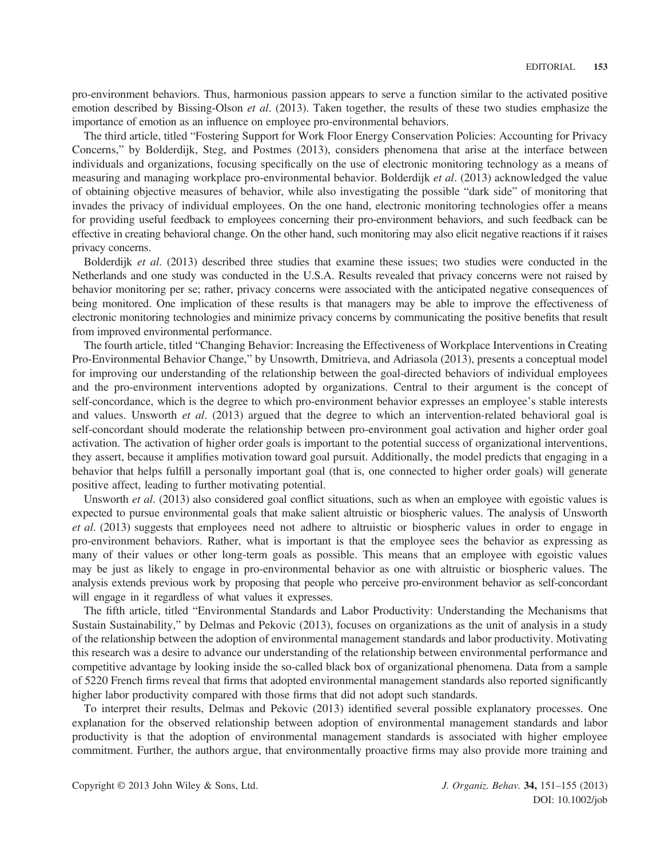pro-environment behaviors. Thus, harmonious passion appears to serve a function similar to the activated positive emotion described by Bissing-Olson et al. (2013). Taken together, the results of these two studies emphasize the importance of emotion as an influence on employee pro-environmental behaviors.

The third article, titled "Fostering Support for Work Floor Energy Conservation Policies: Accounting for Privacy Concerns," by Bolderdijk, Steg, and Postmes (2013), considers phenomena that arise at the interface between individuals and organizations, focusing specifically on the use of electronic monitoring technology as a means of measuring and managing workplace pro-environmental behavior. Bolderdijk et al. (2013) acknowledged the value of obtaining objective measures of behavior, while also investigating the possible "dark side" of monitoring that invades the privacy of individual employees. On the one hand, electronic monitoring technologies offer a means for providing useful feedback to employees concerning their pro-environment behaviors, and such feedback can be effective in creating behavioral change. On the other hand, such monitoring may also elicit negative reactions if it raises privacy concerns.

Bolderdijk et al. (2013) described three studies that examine these issues; two studies were conducted in the Netherlands and one study was conducted in the U.S.A. Results revealed that privacy concerns were not raised by behavior monitoring per se; rather, privacy concerns were associated with the anticipated negative consequences of being monitored. One implication of these results is that managers may be able to improve the effectiveness of electronic monitoring technologies and minimize privacy concerns by communicating the positive benefits that result from improved environmental performance.

The fourth article, titled "Changing Behavior: Increasing the Effectiveness of Workplace Interventions in Creating Pro-Environmental Behavior Change," by Unsowrth, Dmitrieva, and Adriasola (2013), presents a conceptual model for improving our understanding of the relationship between the goal-directed behaviors of individual employees and the pro-environment interventions adopted by organizations. Central to their argument is the concept of self-concordance, which is the degree to which pro-environment behavior expresses an employee's stable interests and values. Unsworth *et al.* (2013) argued that the degree to which an intervention-related behavioral goal is self-concordant should moderate the relationship between pro-environment goal activation and higher order goal activation. The activation of higher order goals is important to the potential success of organizational interventions, they assert, because it amplifies motivation toward goal pursuit. Additionally, the model predicts that engaging in a behavior that helps fulfill a personally important goal (that is, one connected to higher order goals) will generate positive affect, leading to further motivating potential.

Unsworth et al. (2013) also considered goal conflict situations, such as when an employee with egoistic values is expected to pursue environmental goals that make salient altruistic or biospheric values. The analysis of Unsworth et al. (2013) suggests that employees need not adhere to altruistic or biospheric values in order to engage in pro-environment behaviors. Rather, what is important is that the employee sees the behavior as expressing as many of their values or other long-term goals as possible. This means that an employee with egoistic values may be just as likely to engage in pro-environmental behavior as one with altruistic or biospheric values. The analysis extends previous work by proposing that people who perceive pro-environment behavior as self-concordant will engage in it regardless of what values it expresses.

The fifth article, titled "Environmental Standards and Labor Productivity: Understanding the Mechanisms that Sustain Sustainability," by Delmas and Pekovic (2013), focuses on organizations as the unit of analysis in a study of the relationship between the adoption of environmental management standards and labor productivity. Motivating this research was a desire to advance our understanding of the relationship between environmental performance and competitive advantage by looking inside the so-called black box of organizational phenomena. Data from a sample of 5220 French firms reveal that firms that adopted environmental management standards also reported significantly higher labor productivity compared with those firms that did not adopt such standards.

To interpret their results, Delmas and Pekovic (2013) identified several possible explanatory processes. One explanation for the observed relationship between adoption of environmental management standards and labor productivity is that the adoption of environmental management standards is associated with higher employee commitment. Further, the authors argue, that environmentally proactive firms may also provide more training and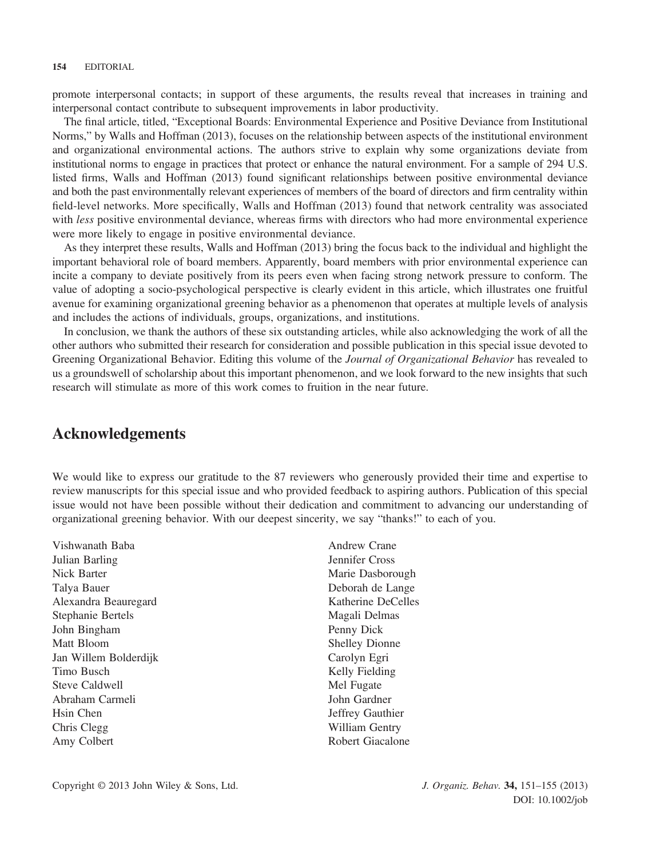#### 154 EDITORIAL

promote interpersonal contacts; in support of these arguments, the results reveal that increases in training and interpersonal contact contribute to subsequent improvements in labor productivity.

The final article, titled, "Exceptional Boards: Environmental Experience and Positive Deviance from Institutional Norms," by Walls and Hoffman (2013), focuses on the relationship between aspects of the institutional environment and organizational environmental actions. The authors strive to explain why some organizations deviate from institutional norms to engage in practices that protect or enhance the natural environment. For a sample of 294 U.S. listed firms, Walls and Hoffman (2013) found significant relationships between positive environmental deviance and both the past environmentally relevant experiences of members of the board of directors and firm centrality within field-level networks. More specifically, Walls and Hoffman (2013) found that network centrality was associated with less positive environmental deviance, whereas firms with directors who had more environmental experience were more likely to engage in positive environmental deviance.

As they interpret these results, Walls and Hoffman (2013) bring the focus back to the individual and highlight the important behavioral role of board members. Apparently, board members with prior environmental experience can incite a company to deviate positively from its peers even when facing strong network pressure to conform. The value of adopting a socio-psychological perspective is clearly evident in this article, which illustrates one fruitful avenue for examining organizational greening behavior as a phenomenon that operates at multiple levels of analysis and includes the actions of individuals, groups, organizations, and institutions.

In conclusion, we thank the authors of these six outstanding articles, while also acknowledging the work of all the other authors who submitted their research for consideration and possible publication in this special issue devoted to Greening Organizational Behavior. Editing this volume of the *Journal of Organizational Behavior* has revealed to us a groundswell of scholarship about this important phenomenon, and we look forward to the new insights that such research will stimulate as more of this work comes to fruition in the near future.

#### Acknowledgements

We would like to express our gratitude to the 87 reviewers who generously provided their time and expertise to review manuscripts for this special issue and who provided feedback to aspiring authors. Publication of this special issue would not have been possible without their dedication and commitment to advancing our understanding of organizational greening behavior. With our deepest sincerity, we say "thanks!" to each of you.

Vishwanath Baba Julian Barling Nick Barter Talya Bauer Alexandra Beauregard Stephanie Bertels John Bingham Matt Bloom Jan Willem Bolderdijk Timo Busch Steve Caldwell Abraham Carmeli Hsin Chen Chris Clegg Amy Colbert

Andrew Crane Jennifer Cross Marie Dasborough Deborah de Lange Katherine DeCelles Magali Delmas Penny Dick Shelley Dionne Carolyn Egri Kelly Fielding Mel Fugate John Gardner Jeffrey Gauthier William Gentry Robert Giacalone